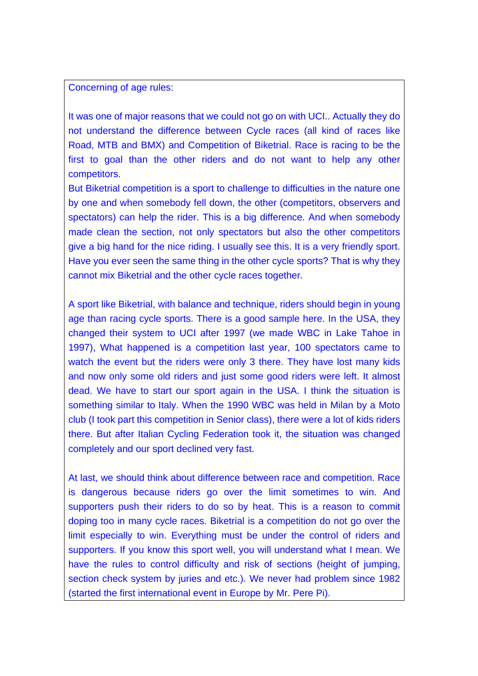Concerning of age rules:

It was one of major reasons that we could not go on with UCI.. Actually they do not understand the difference between Cycle races (all kind of races like Road, MTB and BMX) and Competition of Biketrial. Race is racing to be the first to goal than the other riders and do not want to help any other competitors.

But Biketrial competition is a sport to challenge to difficulties in the nature one by one and when somebody fell down, the other (competitors, observers and spectators) can help the rider. This is a big difference. And when somebody made clean the section, not only spectators but also the other competitors give a big hand for the nice riding. I usually see this. It is a very friendly sport. Have you ever seen the same thing in the other cycle sports? That is why they cannot mix Biketrial and the other cycle races together.

A sport like Biketrial, with balance and technique, riders should begin in young age than racing cycle sports. There is a good sample here. In the USA, they changed their system to UCI after 1997 (we made WBC in Lake Tahoe in 1997), What happened is a competition last year, 100 spectators came to watch the event but the riders were only 3 there. They have lost many kids and now only some old riders and just some good riders were left. It almost dead. We have to start our sport again in the USA. I think the situation is something similar to Italy. When the 1990 WBC was held in Milan by a Moto club (I took part this competition in Senior class), there were a lot of kids riders there. But after Italian Cycling Federation took it, the situation was changed completely and our sport declined very fast.

At last, we should think about difference between race and competition. Race is dangerous because riders go over the limit sometimes to win. And supporters push their riders to do so by heat. This is a reason to commit doping too in many cycle races. Biketrial is a competition do not go over the limit especially to win. Everything must be under the control of riders and supporters. If you know this sport well, you will understand what I mean. We have the rules to control difficulty and risk of sections (height of jumping, section check system by juries and etc.). We never had problem since 1982 (started the first international event in Europe by Mr. Pere Pi).